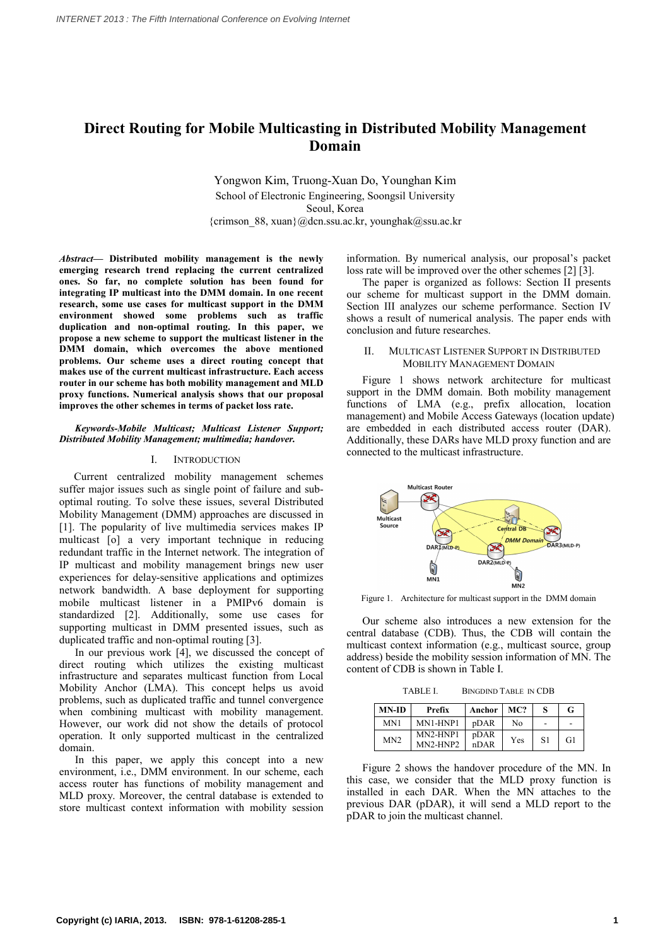# **Direct Routing for Mobile Multicasting in Distributed Mobility Management Domain**

Yongwon Kim, Truong-Xuan Do, Younghan Kim School of Electronic Engineering, Soongsil University Seoul, Korea {crimson\_88, xuan}@dcn.ssu.ac.kr, younghak@ssu.ac.kr

*Abstract***— Distributed mobility management is the newly emerging research trend replacing the current centralized ones. So far, no complete solution has been found for integrating IP multicast into the DMM domain. In one recent research, some use cases for multicast support in the DMM environment showed some problems such as traffic duplication and non-optimal routing. In this paper, we propose a new scheme to support the multicast listener in the DMM domain, which overcomes the above mentioned problems. Our scheme uses a direct routing concept that makes use of the current multicast infrastructure. Each access router in our scheme has both mobility management and MLD proxy functions. Numerical analysis shows that our proposal improves the other schemes in terms of packet loss rate.**

## *Keywords-Mobile Multicast; Multicast Listener Support; Distributed Mobility Management; multimedia; handover.*

## I. INTRODUCTION

Current centralized mobility management schemes suffer major issues such as single point of failure and sub optimal routing. To solve these issues, several Distributed Mobility Management (DMM) approaches are discussed in [1]. The popularity of live multimedia services makes IP multicast [o] a very important technique in reducing redundant traffic in the Internet network. The integration of IP multicast and mobility management brings new user experiences for delay-sensitive applications and optimizes network bandwidth. A base deployment for supporting mobile multicast listener in a PMIPv6 domain is standardized [2]. Additionally, some use cases for supporting multicast in DMM presented issues, such as duplicated traffic and non-optimal routing [3].

In our previous work [4], we discussed the concept of direct routing which utilizes the existing multicast infrastructure and separates multicast function from Local Mobility Anchor (LMA). This concept helps us avoid problems, such as duplicated traffic and tunnel convergence when combining multicast with mobility management. However, our work did not show the details of protocol operation. It only supported multicast in the centralized domain.

In this paper, we apply this concept into a new environment, i.e., DMM environment. In our scheme, each access router has functions of mobility management and MLD proxy. Moreover, the central database is extended to store multicast context information with mobility session

information. By numerical analysis, our proposal's packet loss rate will be improved over the other schemes [2] [3].

The paper is organized as follows: Section II presents our scheme for multicast support in the DMM domain. Section III analyzes our scheme performance. Section IV shows a result of numerical analysis. The paper ends with conclusion and future researches.

## MULTICAST LISTENER SUPPORT IN DISTRIBUTED MOBILITY MANAGEMENT DOMAIN

Figure 1 shows network architecture for multicast support in the DMM domain. Both mobility management functions of LMA (e.g., prefix allocation, location management) and Mobile Access Gateways (location update) are embedded in each distributed access router (DAR). Additionally, these DARs have MLD proxy function and are connected to the multicast infrastructure.



Figure 1. Architecture for multicast support in the DMM domain

Our scheme also introduces a new extension for the central database (CDB). Thus, the CDB will contain the multicast context information (e.g., multicast source, group address) beside the mobility session information of MN. The content of CDB is shown in Table I.

TABLE I. BINGDIND TABLE IN CDB

| <b>MN-ID</b>    | Prefix               | Anchor       | MC? |    | G  |
|-----------------|----------------------|--------------|-----|----|----|
| MN <sub>1</sub> | MN1-HNP1             | pDAR         | No  |    | ۰  |
| MN <sub>2</sub> | MN2-HNP1<br>MN2-HNP2 | pDAR<br>nDAR | Yes | S1 | G1 |

Figure 2 shows the handover procedure of the MN. In this case, we consider that the MLD proxy function is installed in each DAR. When the MN attaches to the previous DAR (pDAR), it will send a MLD report to the pDAR to join the multicast channel.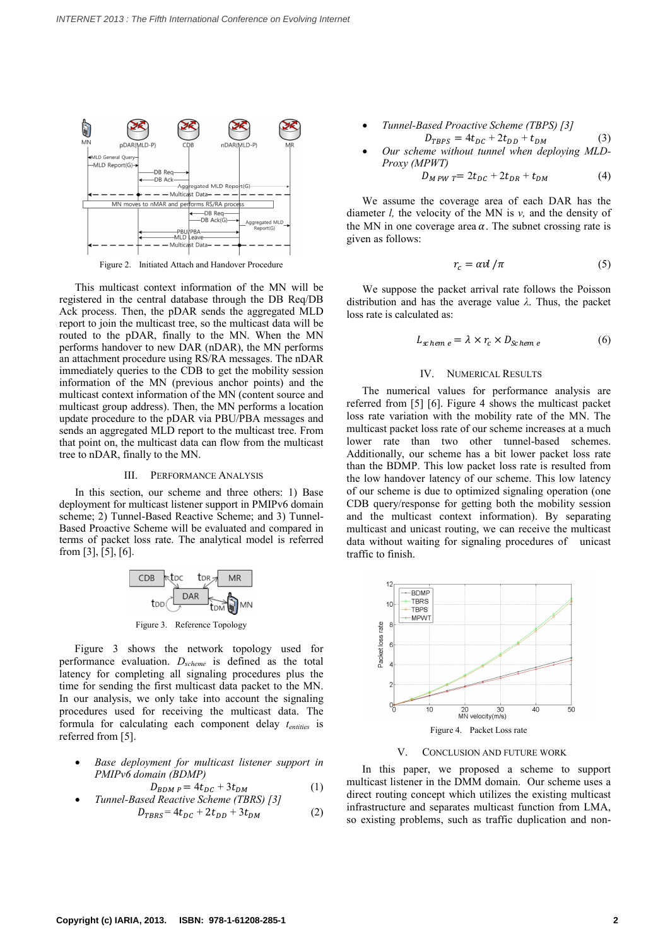

Figure 2. Initiated Attach and Handover Procedure

This multicast context information of the MN will be registered in the central database through the DB Req/DB Ack process. Then, the pDAR sends the aggregated MLD report to join the multicast tree, so the multicast data will be routed to the pDAR, finally to the MN. When the MN performs handover to new DAR (nDAR), the MN performs an attachment procedure using RS/RA messages. The nDAR immediately queries to the CDB to get the mobility session information of the MN (previous anchor points) and the multicast context information of the MN (content source and multicast group address). Then, the MN performs a location update procedure to the pDAR via PBU/PBA messages and sends an aggregated MLD report to the multicast tree. From multicast packet loss rate of our scheme increases at a much<br>that point on, the multicast data can flow from the multicast lower rate than two other tunnel-based s that point on, the multicast data can flow from the multicast tree to nDAR, finally to the MN.

#### III. PERFORMANCE ANALYSIS

In this section, our scheme and three others: 1) Base deployment for multicast listener support in PMIPv6 domain scheme; 2) Tunnel-Based Reactive Scheme; and 3) Tunnel- Based Proactive Scheme will be evaluated and compared in terms of packet loss rate. The analytical model is referred from [3], [5], [6].

$$
\begin{array}{c|c}\n\hline\n\text{CDB} & \text{tbc} & \text{tDR} & \text{MR} \\
\hline\n\text{tDD} & \text{DAR} & \text{tDM} \\
\hline\n\end{array}
$$

Figure 3. Reference Topology

Figure 3 shows the network topology used for performance evaluation. *Dscheme* is defined as the total latency for completing all signaling procedures plus the time for sending the first multicast data packet to the MN. In our analysis, we only take into account the signaling procedures used for receiving the multicast data. The formula for calculating each component delay *tentities* is referred from [5].

· *Base deployment for multicast listener support in PMIPv6 domain (BDMP)* ■ *Base deployment for multicast listener support in*<br> *PMIPv6 domain (BDMP)*<br>  $D_{BDM P} = 4t_{DC} + 3t_{DM}$  (1) in<br>
Tunnel-Based Reactive Scheme (TBRS) [3] in

$$
D_{BDM P} = 4t_{DC} + 3t_{DM}
$$
  
used *Reactive Scheme* (TRRS) [31] (1

$$
D_{TBRS} = 4t_{DC} + 2t_{DD} + 3t_{DM}
$$
 (2)

\n- Tunnel-Based Practice Scheme (TBPS) [3]
\n- \n
$$
D_{TBPS} = 4t_{DC} + 2t_{DD} + t_{DM}
$$
\n
\n- \n
$$
Our scheme without tunnel when deploying MLD-Proxy (MPWT)
$$
\n
$$
D_{MPW T} = 2t_{DC} + 2t_{DR} + t_{DM}
$$
\n
\n
\n(4)

$$
D_{M \, P W \, T} = 2t_{DC} + 2t_{DR} + t_{DM} \tag{4}
$$

We assume the coverage area of each DAR has the diameter *l,* the velocity of the MN is *v,* and the density of the MN in one coverage area  $\alpha$ . The subnet crossing rate is given as follows:

$$
r_c = \alpha v l / \pi \tag{5}
$$

We suppose the packet arrival rate follows the Poisson distribution and has the average value  $\lambda$ . Thus, the packet loss rate is calculated as:<br>  $L_{\text{x-}hem\ e} = \lambda \times r_c \times D_{\text{x-}hem\ e}$  (6) loss rate is calculated as:

$$
L_{\rm x \, hem \, e} = \lambda \times r_c \times D_{\rm Schem \, e} \tag{6}
$$

# IV. NUMERICAL RESULTS

The numerical values for performance analysis are referred from [5] [6]. Figure 4 shows the multicast packet loss rate variation with the mobility rate of the MN. The multicast packet loss rate of our scheme increases at a much Additionally, our scheme has a bit lower packet loss rate than the BDMP. This low packet loss rate is resulted from the low handover latency of our scheme. This low latency of our scheme is due to optimized signaling operation (one CDB query/response for getting both the mobility session and the multicast context information). By separating multicast and unicast routing, we can receive the multicast data without waiting for signaling procedures of unicast traffic to finish.



V. CONCLUSION AND FUTURE WORK

In this paper, we proposed a scheme to support multicast listener in the DMM domain. Our scheme uses a direct routing concept which utilizes the existing multicast infrastructure and separates multicast function from LMA, so existing problems, such as traffic duplication and non